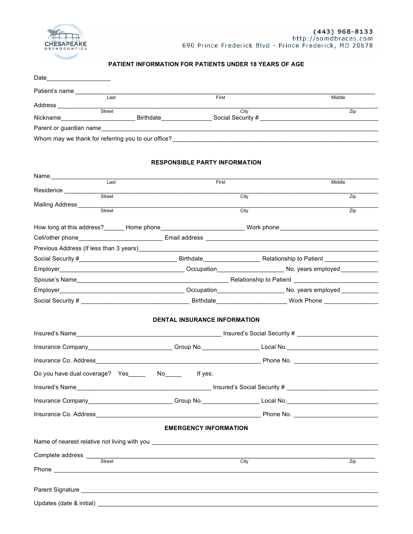

Updates (date & initial) \_\_

## **PATIENT INFORMATION FOR PATIENTS UNDER 18 YEARS OF AGE**

| Patient's name                                          |                                                             |                                                                                                                                                                                                                                                            |  |  |  |  |
|---------------------------------------------------------|-------------------------------------------------------------|------------------------------------------------------------------------------------------------------------------------------------------------------------------------------------------------------------------------------------------------------------|--|--|--|--|
| Last                                                    | First                                                       | Middle                                                                                                                                                                                                                                                     |  |  |  |  |
| Street                                                  | City                                                        | Zip<br>Nickname <b>Example 2018</b> Birthdate <b>Example 2018</b> Social Security # <b>All Contracts Contract 2018</b> Social Security # <b>All Contracts Contracts Contracts Contracts Contracts Contracts Contracts Contracts Contracts Contracts Co</b> |  |  |  |  |
|                                                         |                                                             |                                                                                                                                                                                                                                                            |  |  |  |  |
|                                                         |                                                             | Whom may we thank for referring you to our office?<br>The contract of the contract of the contract of the contract of the contract of the contract of the contract of the contract of the contract of the contract of the contra                           |  |  |  |  |
|                                                         |                                                             |                                                                                                                                                                                                                                                            |  |  |  |  |
| <b>RESPONSIBLE PARTY INFORMATION</b>                    |                                                             |                                                                                                                                                                                                                                                            |  |  |  |  |
|                                                         |                                                             |                                                                                                                                                                                                                                                            |  |  |  |  |
| $\overline{\phantom{0}}$ Last                           | First                                                       | Middle                                                                                                                                                                                                                                                     |  |  |  |  |
| Residence<br>Street                                     | City                                                        | Zip                                                                                                                                                                                                                                                        |  |  |  |  |
| Mailing Address_____<br>Street                          | City                                                        | Zip                                                                                                                                                                                                                                                        |  |  |  |  |
|                                                         |                                                             |                                                                                                                                                                                                                                                            |  |  |  |  |
|                                                         |                                                             | How long at this address?_______ Home phone________________________________ Work phone________________________                                                                                                                                             |  |  |  |  |
|                                                         |                                                             |                                                                                                                                                                                                                                                            |  |  |  |  |
|                                                         |                                                             |                                                                                                                                                                                                                                                            |  |  |  |  |
|                                                         |                                                             |                                                                                                                                                                                                                                                            |  |  |  |  |
|                                                         |                                                             |                                                                                                                                                                                                                                                            |  |  |  |  |
|                                                         |                                                             |                                                                                                                                                                                                                                                            |  |  |  |  |
|                                                         |                                                             |                                                                                                                                                                                                                                                            |  |  |  |  |
|                                                         |                                                             |                                                                                                                                                                                                                                                            |  |  |  |  |
|                                                         | <b>DENTAL INSURANCE INFORMATION</b>                         |                                                                                                                                                                                                                                                            |  |  |  |  |
|                                                         |                                                             |                                                                                                                                                                                                                                                            |  |  |  |  |
|                                                         |                                                             | Insurance Company____________________________Group No.____________________Local No.___________________________                                                                                                                                             |  |  |  |  |
|                                                         |                                                             |                                                                                                                                                                                                                                                            |  |  |  |  |
| Do you have dual coverage? Yes ______ No_______ If yes: |                                                             |                                                                                                                                                                                                                                                            |  |  |  |  |
|                                                         |                                                             |                                                                                                                                                                                                                                                            |  |  |  |  |
|                                                         |                                                             |                                                                                                                                                                                                                                                            |  |  |  |  |
|                                                         |                                                             | Insurance Company <b>Example 2018</b> Croup No. <b>Consumer Section 2018</b> Local No. <b>Consumer Section 2019</b> Croup No.                                                                                                                              |  |  |  |  |
|                                                         |                                                             |                                                                                                                                                                                                                                                            |  |  |  |  |
|                                                         | <b>EMERGENCY INFORMATION</b>                                |                                                                                                                                                                                                                                                            |  |  |  |  |
|                                                         |                                                             |                                                                                                                                                                                                                                                            |  |  |  |  |
|                                                         | <u> 1989 - Johann Stoff, amerikansk politiker (d. 1989)</u> |                                                                                                                                                                                                                                                            |  |  |  |  |
|                                                         | City                                                        | $\overline{Zip}$                                                                                                                                                                                                                                           |  |  |  |  |
|                                                         |                                                             |                                                                                                                                                                                                                                                            |  |  |  |  |
|                                                         |                                                             |                                                                                                                                                                                                                                                            |  |  |  |  |